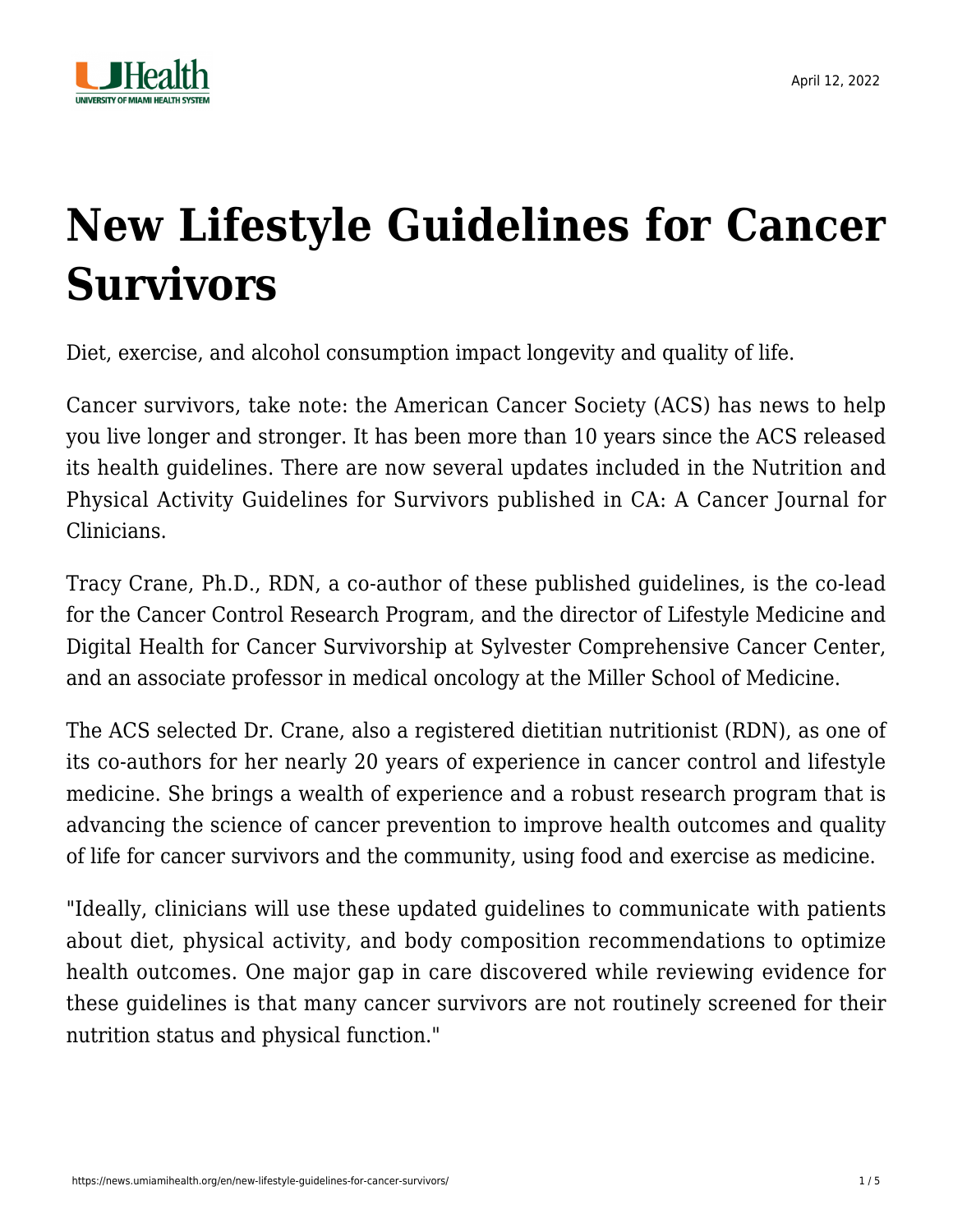

# **[New Lifestyle Guidelines for Cancer](https://news.umiamihealth.org/en/new-lifestyle-guidelines-for-cancer-survivors/) [Survivors](https://news.umiamihealth.org/en/new-lifestyle-guidelines-for-cancer-survivors/)**

Diet, exercise, and alcohol consumption impact longevity and quality of life.

Cancer survivors, take note: the American Cancer Society (ACS) has news to help you live longer and stronger. It has been more than 10 years since the ACS released its health guidelines. There are now several updates included in the [Nutrition and](https://acsjournals.onlinelibrary.wiley.com/doi/full/10.3322/caac.21719#caac21719-tbl-0001) [Physical Activity Guidelines for Survivors](https://acsjournals.onlinelibrary.wiley.com/doi/full/10.3322/caac.21719#caac21719-tbl-0001) published in [CA: A Cancer Journal for](https://acsjournals.onlinelibrary.wiley.com/doi/full/10.3322/caac.21719) [Clinicians](https://acsjournals.onlinelibrary.wiley.com/doi/full/10.3322/caac.21719).

[Tracy Crane, Ph.D., RDN,](https://physician-news.umiamihealth.org/leader-in-cancer-control-joins-sylvester-to-foster-prevention-and-survivorship/?msclkid=678287c3a5f811ec8dd4a4eb56d7ab23) a co-author of these published guidelines, is the co-lead for the Cancer Control Research Program, and the director of Lifestyle Medicine and Digital Health for [Cancer Survivorship](https://umiamihealth.org/en/sylvester-comprehensive-cancer-center/survivorship-services) at Sylvester Comprehensive Cancer Center, and an associate professor in medical oncology at the Miller School of Medicine.

The ACS selected Dr. Crane, also a registered dietitian nutritionist (RDN), as one of its co-authors for her nearly 20 years of experience in cancer control and lifestyle medicine. She brings a wealth of experience and a robust research program that is advancing the science of cancer prevention to improve health outcomes and quality of life for cancer survivors and the community, using food and exercise as medicine.

"Ideally, clinicians will use these updated guidelines to communicate with patients about diet, physical activity, and body composition recommendations to optimize health outcomes. One major gap in care discovered while reviewing evidence for these guidelines is that many cancer survivors are not routinely screened for their nutrition status and physical function."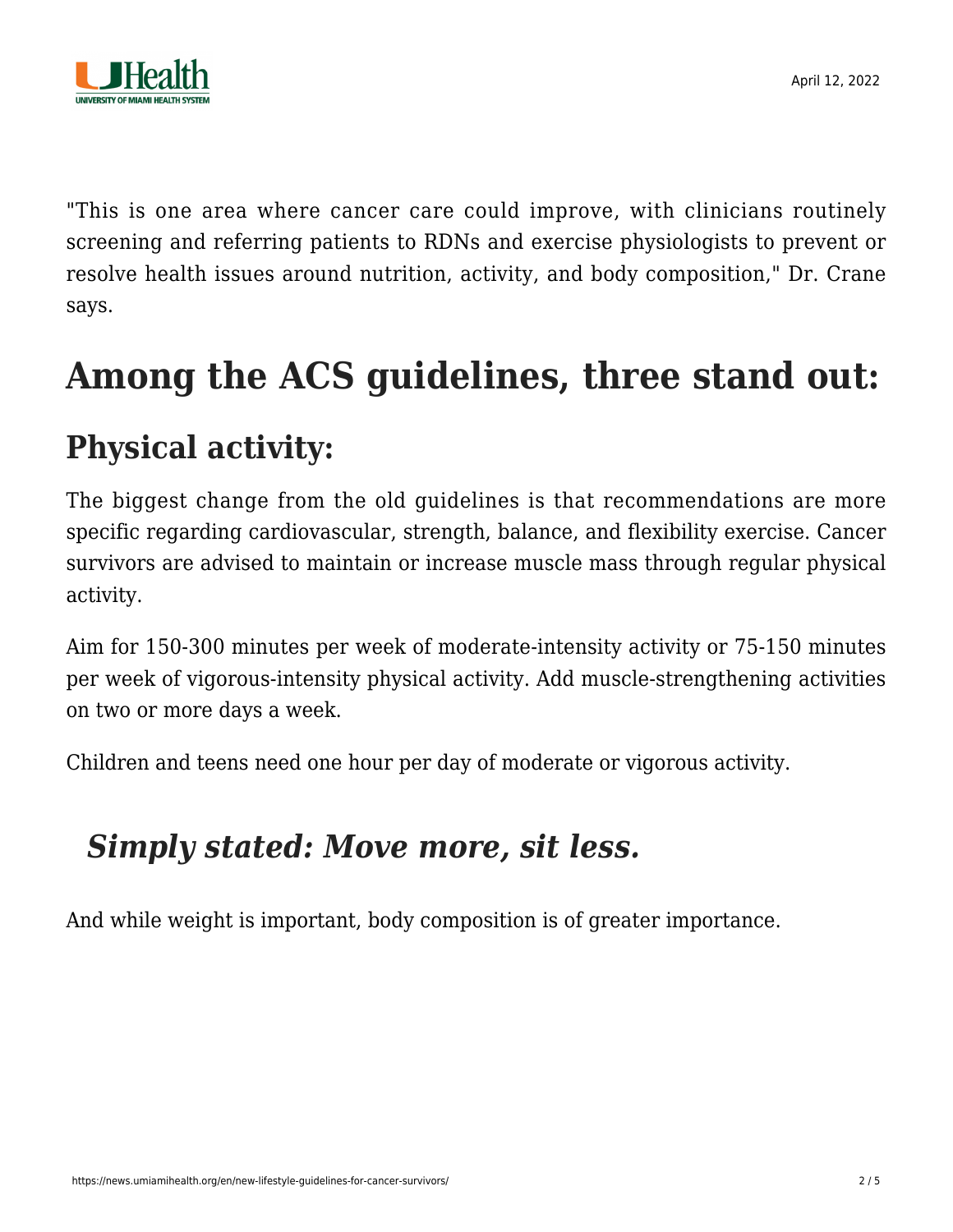

"This is one area where cancer care could improve, with clinicians routinely screening and referring patients to RDNs and exercise physiologists to prevent or resolve health issues around nutrition, activity, and body composition," Dr. Crane says.

### **Among the ACS guidelines, three stand out:**

### **Physical activity:**

The biggest change from the old guidelines is that recommendations are more specific regarding cardiovascular, strength, balance, and flexibility exercise. Cancer survivors are advised to maintain or increase muscle mass through regular physical activity.

Aim for 150-300 minutes per week of moderate-intensity activity or 75-150 minutes per week of vigorous-intensity physical activity. Add muscle-strengthening activities on two or more days a week.

Children and teens need one hour per day of moderate or vigorous activity.

#### *Simply stated: Move more, sit less.*

And while weight is important, body composition is of greater importance.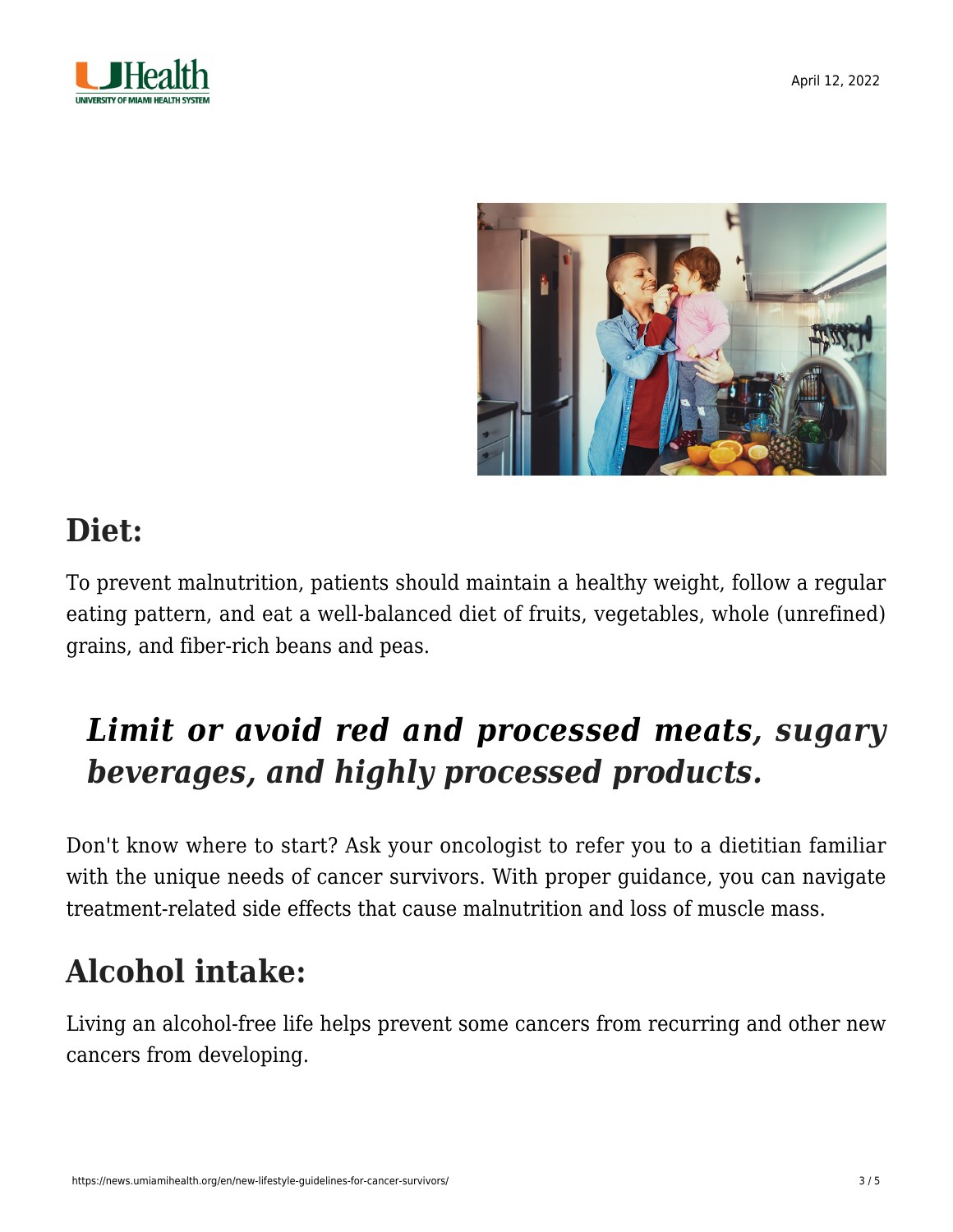



#### **Diet:**

To prevent malnutrition, patients should maintain a healthy weight, follow a regular eating pattern, and eat a well-balanced diet of fruits, vegetables, whole (unrefined) grains, and fiber-rich beans and peas.

### *[Limit or avoid red and processed meats](https://news.umiamihealth.org/en/can-more-meatless-meals-lower-your-cancer-risk/), sugary beverages, and highly processed products.*

Don't know where to start? Ask your oncologist to refer you to a dietitian familiar with the unique needs of cancer survivors. With proper guidance, you can navigate treatment-related side effects that cause malnutrition and loss of muscle mass.

#### **Alcohol intake:**

Living an [alcohol-free life](https://news.umiamihealth.org/en/top-5-reasons-to-cut-back-on-drinking/) helps prevent some cancers from recurring and other new cancers from developing.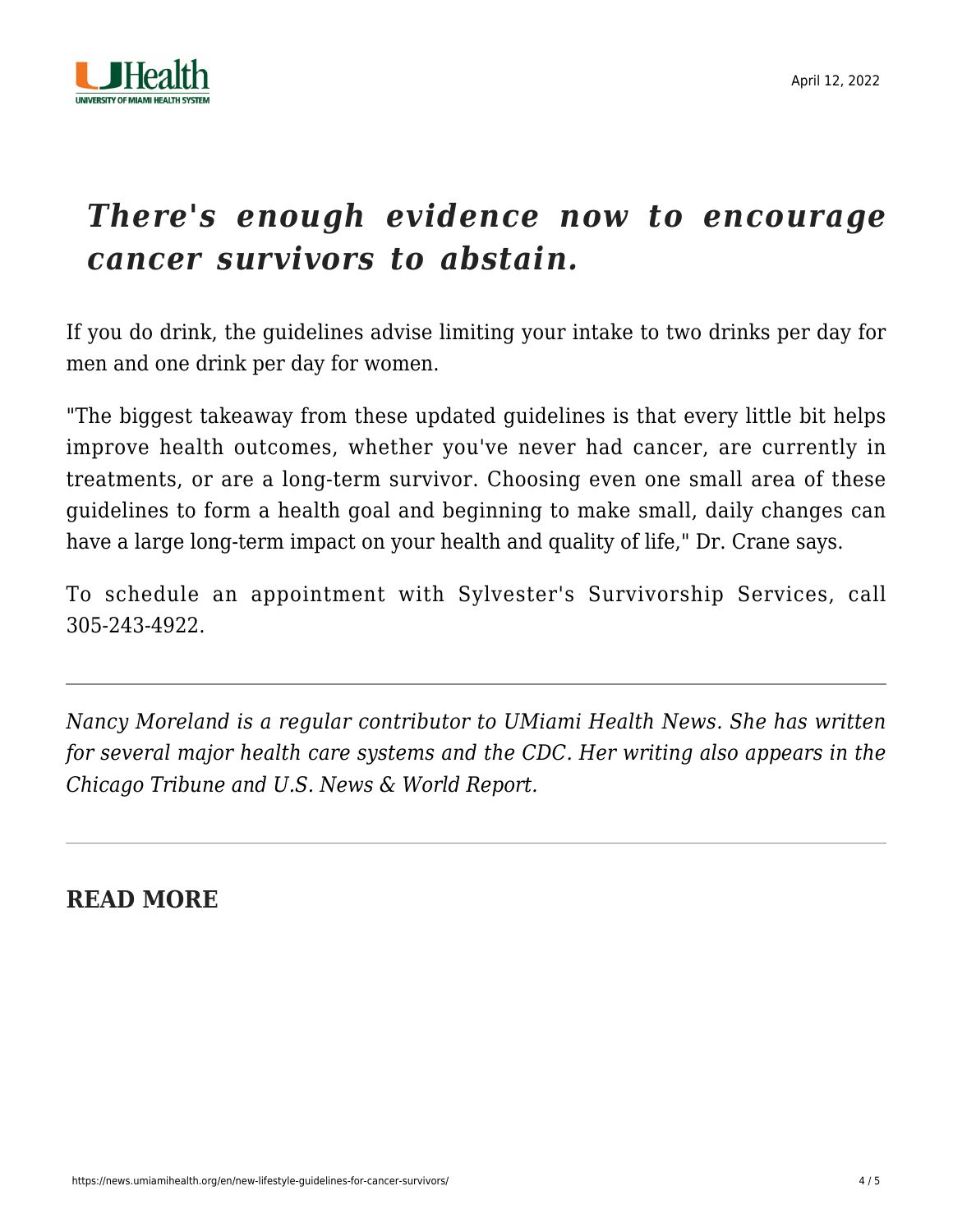

#### *There's enough evidence now to encourage cancer survivors to abstain.*

If you do drink, the guidelines advise limiting your intake to two drinks per day for men and one drink per day for women.

"The biggest takeaway from these updated guidelines is that every little bit helps improve health outcomes, whether you've never had cancer, are currently in treatments, or are a long-term survivor. Choosing even one small area of these guidelines to form a health goal and beginning to make small, daily changes can have a large long-term impact on your health and quality of life," Dr. Crane says.

To schedule an appointment with [Sylvester's Survivorship Services,](https://umiamihealth.org/sylvester-comprehensive-cancer-center/survivorship-services) call [305-243-4922.](#page--1-0)

*Nancy Moreland is a regular contributor to UMiami Health News. She has written for several major health care systems and the CDC. Her writing also appears in the Chicago Tribune and U.S. News & World Report.*

#### **READ MORE**